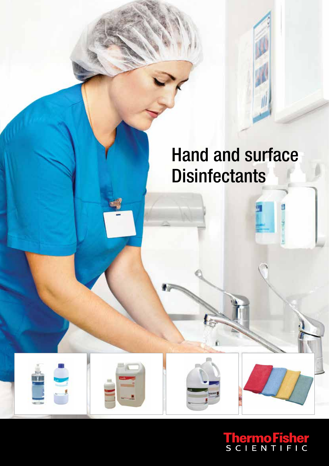# Hand and surface **Disinfectants**

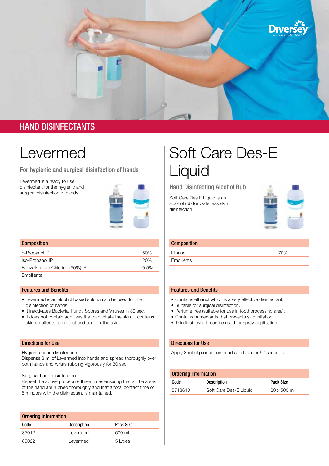

### HAND DISINFECTANTS

### Levermed

For hygienic and surgical disinfection of hands

Levermed is a ready to use disinfectant for the hygienic and surgical disinfection of hands.



#### **Composition**

| n-Propanol IP                  | 50%  |
|--------------------------------|------|
| Iso-Propanol IP                | 20%  |
| Benzalkonium Chloride (50%) IP | 0.5% |
| Emollients                     |      |

### Features and Benefits

- Levermed is an alcohol based solution and is used for the disinfection of hands.
- It inactivates Bacteria, Fungi, Spores and Viruses in 30 sec.
- It does not contain additives that can irritate the skin. It contains skin emollients to protect and care for the skin.

### Directions for Use

#### Hygienic hand disinfection

Dispense 3 ml of Levermed into hands and spread thoroughly over both hands and wrists rubbing vigorously for 30 sec.

#### Surgical hand disinfection

Repeat the above procedure three times ensuring that all the areas of the hand are rubbed thoroughly and that a total contact time of 5 minutes with the disinfectant is maintained.

| <b>Ordering Information</b> |                    |           |  |
|-----------------------------|--------------------|-----------|--|
| Code                        | <b>Description</b> | Pack Size |  |
| 85012                       | Levermed           | 500 ml    |  |
| 85022                       | Levermed           | 5 Litres  |  |

# Soft Care Des-E Liquid

### Hand Disinfecting Alcohol Rub

Soft Care Des E Liquid is an alcohol rub for waterless skin disinfection



### **Composition**

Ethanol 70% **Emollients** 

### Features and Benefits

- • Contains ethanol which is a very effective disinfectant.
- • Suitable for surgical disinfection.
- • Perfume free (suitable for use in food processing area).
- Contains humectants that prevents skin irritation.
- Thin liquid which can be used for spray application.

#### Directions for Use

Apply 3 ml of product on hands and rub for 60 seconds.

### Ordering Information

| Code    | <b>Description</b>     | Pack Size          |
|---------|------------------------|--------------------|
| 5718610 | Soft Care Des-E Liquid | $20 \times 500$ ml |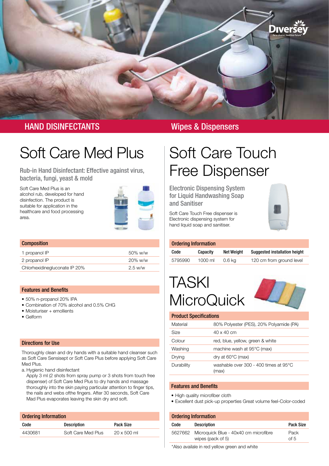

### HAND DISINFECTANTS Wipes & Dispensers

# Soft Care Med Plus

Rub-in Hand Disinfectant: Effective against virus, bacteria, fungi, yeast & mold

Soft Care Med Plus is an alcohol rub, developed for hand disinfection. The product is suitable for application in the healthcare and food processing area.



| <b>Composition</b>            |            |
|-------------------------------|------------|
| 1 propanol IP                 | $50\%$ w/w |
| 2 propanol IP                 | $20\%$ w/w |
| Chlorhexidinegluconate IP 20% | $2.5$ w/w  |

### Features and Benefits

- 50% n-propanol 20% IPA
- Combination of 70% alcohol and 0.5% CHG
- Moisturiser + emollients
- • Gelform

### Directions for Use

Thoroughly clean and dry hands with a suitable hand cleanser such as Soft Care Sensisept or Soft Care Plus before applying Soft Care Med Plus.

a. Hygienic hand disinfectant

Apply 3 ml (2 shots from spray pump or 3 shots from touch free dispenser) of Soft Care Med Plus to dry hands and massage thoroughly into the skin paying particular attention to finger tips, the nails and webs ofthe fingers. After 30 seconds, Soft Care Mad Plus evaporates leaving the skin dry and soft.

| <b>Ordering Information</b> |                    |                    |  |
|-----------------------------|--------------------|--------------------|--|
| Code                        | <b>Description</b> | Pack Size          |  |
| 4430681                     | Soft Care Med Plus | $20 \times 500$ ml |  |

# Soft Care Touch Free Dispenser

Electronic Dispensing System for Liquid Handwashing Soap and Sanitiser

Soft Care Touch Free dispenser is Electronic dispensing system for hand liquid soap and sanitiser.



|      | <b>Ordering Information</b> |            |                               |
|------|-----------------------------|------------|-------------------------------|
| Code | Capacity                    | Net Weight | Suggested installation height |

| vuut    | Gapacity | <b>NET MEIGHT</b> | <b>Suggested Instantial Height</b> |
|---------|----------|-------------------|------------------------------------|
| 5795990 | 1000 ml  | 0.6 kg            | 120 cm from ground level           |
|         |          |                   |                                    |

### TASKI **MicroQuick**



### Product Specifications

| Material    | 80% Polyester (PES), 20% Polyamide (PA)        |
|-------------|------------------------------------------------|
| <b>Size</b> | 40 x 40 cm                                     |
| Colour      | red, blue, yellow, green & white               |
| Washing     | machine wash at 95°C (max)                     |
| Drying      | dry at $60^{\circ}$ C (max)                    |
| Durability  | washable over 300 - 400 times at 95°C<br>(max) |

### Features and Benefits

- High quality microfiber cloth
- Excellent dust pick-up properties Great volume feel-Color-coded

| <b>Ordering Information</b> |                                                                    |                  |
|-----------------------------|--------------------------------------------------------------------|------------------|
| Code                        | <b>Description</b>                                                 | <b>Pack Size</b> |
|                             | 5627662 Microquick Blue - 40x40 cm microfibre<br>wipes (pack of 5) | Pack<br>of 5     |

\*Also availale in red yellow green and white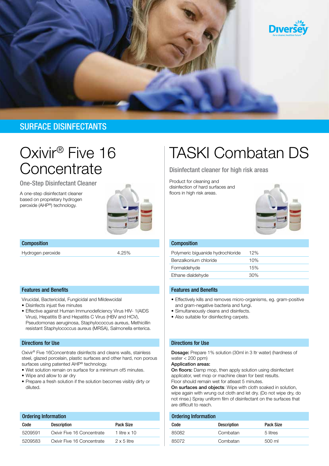

### SURFACE DISINFECTANTS

## Oxivir® Five 16 **Concentrate**

One-Step Disinfectant Cleaner

A one-step disinfectant cleaner based on proprietary hydrogen peroxide (AHP®) technology.



Composition

Hydrogen peroxide 4.25%

### Features and Benefits

- Virucidal, Bactericidal, Fungicidal and Mildewcidal
- • Disinfects injust five minutes
- Effective against Human Immunodeficiency Virus HIV- 1(AIDS Virus), Hepatitis B and Hepatitis C Virus (HBV and HCV), Pseudomonas aeruginosa, Staphylococcus aureus, Methicillin resistant Staphylococcus aureus (MRSA), Salmonella enterica.

### Directions for Use

Oxivir® Five 16Concentrate disinfects and cleans walls, stainless steel, glazed porcelain, plastic surfaces and other hard, non porous surfaces using patented AHP® technology.

- • Wet solution remain on surface for a minimum of5 minutes.
- • Wipe and allow to air dry
- Prepare a fresh solution if the solution becomes visibly dirty or diluted.

| <b>Ordering Information</b> |                            |                     |
|-----------------------------|----------------------------|---------------------|
| Code                        | <b>Description</b>         | Pack Size           |
| 5209591                     | Oxivir Five 16 Concentrate | 1 litre $\times$ 10 |
| 5209583                     | Oxivir Five 16 Concentrate | $2 \times 5$ litre  |

## TASKI Combatan DS

Disinfectant cleaner for high risk areas

Product for cleaning and disinfection of hard surfaces and floors in high risk areas.



### Composition

| 12% |
|-----|
| 10% |
| 15% |
| 30% |
|     |

### Features and Benefits

- • Effectively kills and removes micro-organisms, eg. gram-positive and gram-negative bacteria and fungi.
- Simultaneously cleans and disinfects.
- Also suitable for disinfecting carpets.

### Directions for Use

Dosage: Prepare 1% solution (30ml in 3 ltr water) (hardness of water < 200 ppm)

### Application areas:

On floors: Damp mop, then apply solution using disinfectant applicator, wet mop or machine clean for best results. Floor should remain wet for atleast 5 minutes.

On surfaces and objects: Wipe with cloth soaked in solution, wipe again with wrung out cloth and let dry. (Do not wipe dry, do not rinse.) Spray uniform film of disinfectant on the surfaces that are difficult to reach.

### Ordering Information

| <b>VIUVING MOTOR</b> |                    |           |
|----------------------|--------------------|-----------|
| Code                 | <b>Description</b> | Pack Size |
| 85082                | Combatan           | 5 litres  |
| 85072                | Combatan           | 500 ml    |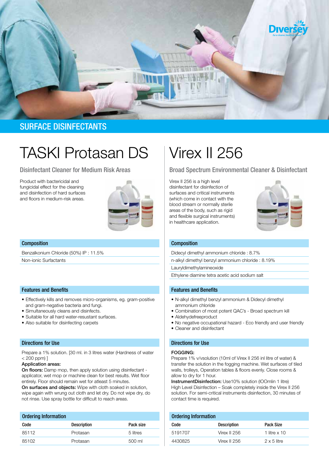

### SURFACE DISINFECTANTS

# TASKI Protasan DS | Virex II 256

Product with bactericidal and fungicidal effect for the cleaning and disinfection of hard surfaces and floors in medium-risk areas.



### Composition

Benzalkonium Chloride (50%) IP : 11.5%

Non-ionic Surfactants

### Features and Benefits

- • Effectively kills and removes micro-organisms, eg. gram-positive and gram-negative bacteria and fungi.
- • Simultaneously cleans and disinfects.
- Suitable for all hard water-resustant surfaces.
- • Also suitable for disinfecting carpets

### Directions for Use

Prepare a 1% solution. [30 ml. in 3 litres water (Hardness of water  $< 200$  ppm $)$ ]

### Application areas:

On floors: Damp mop, then apply solution using disinfectant applicator, wet mop or machine clean for best results. Wet floor entirely. Floor should remain wet for atleast 5 minutes. On surfaces and objects: Wipe with cloth soaked in solution, wipe again with wrung out cloth and let dry. Do not wipe dry, do not rinse. Use spray bottle for difficult to reach areas.

| <b>Ordering Information</b> |                    |           |
|-----------------------------|--------------------|-----------|
| Code                        | <b>Description</b> | Pack size |
| 85112                       | Protasan           | 5 litres  |
| 85102                       | Protasan           | 500 ml    |
|                             |                    |           |

Disinfectant Cleaner for Medium Risk Areas Broad Spectrum Environmental Cleaner & Disinfectant

Virex II 256 is a high level disinfectant for disinfection of surfaces and critical instruments (which come in contact with the blood stream or normally sterile areas of the body, such as rigid and flexible surgical instruments) in healthcare application.



### Composition

Didecyl dimethyl ammonium chloride : 8.7%

n-alkyl dimethyl benzyl ammonium chloride : 8.19%

Lauryldimethylamineoxide

Ethylene diamine tetra acetic acid sodium salt

### Features and Benefits

- • N-alkyl dimethyl benzyl ammonium & Didecyl dimethyl ammonium chloride
- • Combination of most potent QAC's Broad spectrum kill
- • Aldehydefreeproduct
- • No negative occupational hazard Eco friendly and user friendly
- • Cleaner and disinfectant

### Directions for Use

#### FOGGING:

Prepare 1% v/vsolution (10ml of Virex II 256 inl litre of water) & transfer the solution in the fogging machine. Wet surfaces of tiled walls, trolleys, Operation tables & floors evenly. Close rooms & allow to dry for 1 hour.

InstrumentDisinfection: Use10% solution (lOOmlin 1 litre) High Level Disinfection – Soak completely inside the Virex II 256 solution. For semi-critical instruments disinfection, 30 minutes of contact time is required.

| Ordering Information |                    |                     |  |
|----------------------|--------------------|---------------------|--|
| Code                 | <b>Description</b> | Pack Size           |  |
| 5191707              | Virex II $256$     | 1 litre $\times$ 10 |  |
| 4430825              | Virex II $256$     | $2 \times 5$ litre  |  |